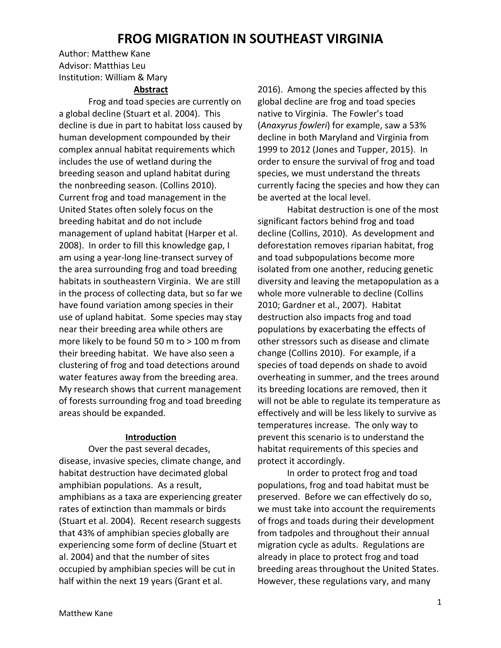# **FROG MIGRATION IN SOUTHEAST VIRGINIA**

Author: Matthew Kane Advisor: Matthias Leu Institution: William & Mary

## **Abstract**

Frog and toad species are currently on a global decline (Stuart et al. 2004). This decline is due in part to habitat loss caused by human development compounded by their complex annual habitat requirements which includes the use of wetland during the breeding season and upland habitat during the nonbreeding season. (Collins 2010). Current frog and toad management in the United States often solely focus on the breeding habitat and do not include management of upland habitat (Harper et al. 2008). In order to fill this knowledge gap, I am using a year-long line-transect survey of the area surrounding frog and toad breeding habitats in southeastern Virginia. We are still in the process of collecting data, but so far we have found variation among species in their use of upland habitat. Some species may stay near their breeding area while others are more likely to be found 50 m to > 100 m from their breeding habitat. We have also seen a clustering of frog and toad detections around water features away from the breeding area. My research shows that current management of forests surrounding frog and toad breeding areas should be expanded.

#### **Introduction**

Over the past several decades, disease, invasive species, climate change, and habitat destruction have decimated global amphibian populations. As a result, amphibians as a taxa are experiencing greater rates of extinction than mammals or birds (Stuart et al. 2004). Recent research suggests that 43% of amphibian species globally are experiencing some form of decline (Stuart et al. 2004) and that the number of sites occupied by amphibian species will be cut in half within the next 19 years (Grant et al.

2016). Among the species affected by this global decline are frog and toad species native to Virginia. The Fowler's toad (*Anaxyrus fowleri*) for example, saw a 53% decline in both Maryland and Virginia from 1999 to 2012 (Jones and Tupper, 2015). In order to ensure the survival of frog and toad species, we must understand the threats currently facing the species and how they can be averted at the local level.

Habitat destruction is one of the most significant factors behind frog and toad decline (Collins, 2010). As development and deforestation removes riparian habitat, frog and toad subpopulations become more isolated from one another, reducing genetic diversity and leaving the metapopulation as a whole more vulnerable to decline (Collins 2010; Gardner et al., 2007). Habitat destruction also impacts frog and toad populations by exacerbating the effects of other stressors such as disease and climate change (Collins 2010). For example, if a species of toad depends on shade to avoid overheating in summer, and the trees around its breeding locations are removed, then it will not be able to regulate its temperature as effectively and will be less likely to survive as temperatures increase. The only way to prevent this scenario is to understand the habitat requirements of this species and protect it accordingly.

In order to protect frog and toad populations, frog and toad habitat must be preserved. Before we can effectively do so, we must take into account the requirements of frogs and toads during their development from tadpoles and throughout their annual migration cycle as adults. Regulations are already in place to protect frog and toad breeding areas throughout the United States. However, these regulations vary, and many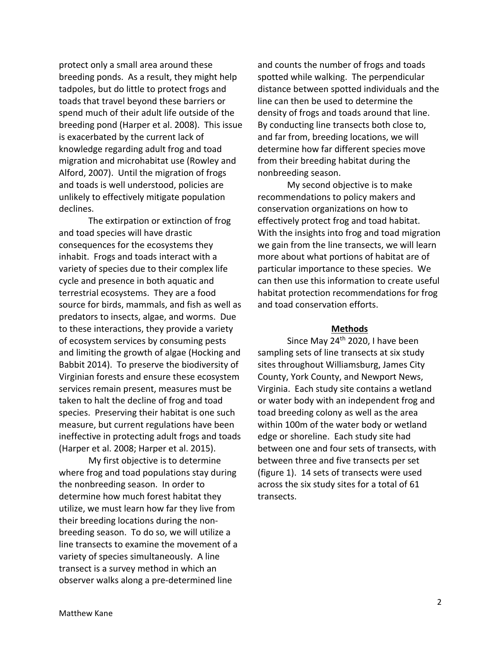protect only a small area around these breeding ponds. As a result, they might help tadpoles, but do little to protect frogs and toads that travel beyond these barriers or spend much of their adult life outside of the breeding pond (Harper et al. 2008). This issue is exacerbated by the current lack of knowledge regarding adult frog and toad migration and microhabitat use (Rowley and Alford, 2007). Until the migration of frogs and toads is well understood, policies are unlikely to effectively mitigate population declines.

The extirpation or extinction of frog and toad species will have drastic consequences for the ecosystems they inhabit. Frogs and toads interact with a variety of species due to their complex life cycle and presence in both aquatic and terrestrial ecosystems. They are a food source for birds, mammals, and fish as well as predators to insects, algae, and worms. Due to these interactions, they provide a variety of ecosystem services by consuming pests and limiting the growth of algae (Hocking and Babbit 2014). To preserve the biodiversity of Virginian forests and ensure these ecosystem services remain present, measures must be taken to halt the decline of frog and toad species. Preserving their habitat is one such measure, but current regulations have been ineffective in protecting adult frogs and toads (Harper et al. 2008; Harper et al. 2015).

My first objective is to determine where frog and toad populations stay during the nonbreeding season.In order to determine how much forest habitat they utilize, we must learn how far they live from their breeding locations during the nonbreeding season. To do so, we will utilize a line transects to examine the movement of a variety of species simultaneously. A line transect is a survey method in which an observer walks along a pre-determined line

and counts the number of frogs and toads spotted while walking. The perpendicular distance between spotted individuals and the line can then be used to determine the density of frogs and toads around that line. By conducting line transects both close to, and far from, breeding locations, we will determine how far different species move from their breeding habitat during the nonbreeding season.

My second objective is to make recommendations to policy makers and conservation organizations on how to effectively protect frog and toad habitat. With the insights into frog and toad migration we gain from the line transects, we will learn more about what portions of habitat are of particular importance to these species. We can then use this information to create useful habitat protection recommendations for frog and toad conservation efforts.

#### **Methods**

Since May 24<sup>th</sup> 2020, I have been sampling sets of line transects at six study sites throughout Williamsburg, James City County, York County, and Newport News, Virginia. Each study site contains a wetland or water body with an independent frog and toad breeding colony as well as the area within 100m of the water body or wetland edge or shoreline. Each study site had between one and four sets of transects, with between three and five transects per set (figure 1). 14 sets of transects were used across the six study sites for a total of 61 transects.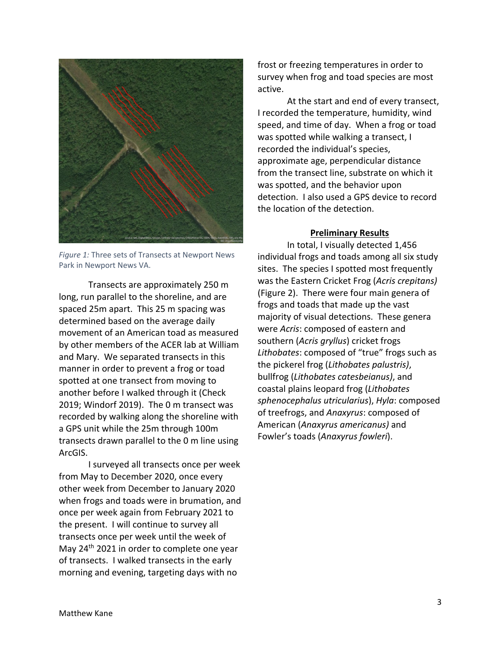

*Figure 1:* Three sets of Transects at Newport News Park in Newport News VA.

Transects are approximately 250 m long, run parallel to the shoreline, and are spaced 25m apart. This 25 m spacing was determined based on the average daily movement of an American toad as measured by other members of the ACER lab at William and Mary. We separated transects in this manner in order to prevent a frog or toad spotted at one transect from moving to another before I walked through it (Check 2019; Windorf 2019). The 0 m transect was recorded by walking along the shoreline with a GPS unit while the 25m through 100m transects drawn parallel to the 0 m line using ArcGIS.

I surveyed all transects once per week from May to December 2020, once every other week from December to January 2020 when frogs and toads were in brumation, and once per week again from February 2021 to the present. I will continue to survey all transects once per week until the week of May 24<sup>th</sup> 2021 in order to complete one year of transects. I walked transects in the early morning and evening, targeting days with no

frost or freezing temperatures in order to survey when frog and toad species are most active.

At the start and end of every transect, I recorded the temperature, humidity, wind speed, and time of day. When a frog or toad was spotted while walking a transect, I recorded the individual's species, approximate age, perpendicular distance from the transect line, substrate on which it was spotted, and the behavior upon detection. I also used a GPS device to record the location of the detection.

#### **Preliminary Results**

In total, I visually detected 1,456 individual frogs and toads among all six study sites. The species I spotted most frequently was the Eastern Cricket Frog (*Acris crepitans)* (Figure 2). There were four main genera of frogs and toads that made up the vast majority of visual detections. These genera were *Acris*: composed of eastern and southern (*Acris gryllus*) cricket frogs *Lithobates*: composed of "true" frogs such as the pickerel frog (*Lithobates palustris)*, bullfrog (*Lithobates catesbeianus)*, and coastal plains leopard frog (*Lithobates sphenocephalus utricularius*), *Hyla*: composed of treefrogs, and *Anaxyrus*: composed of American (*Anaxyrus americanus)* and Fowler's toads (*Anaxyrus fowleri*).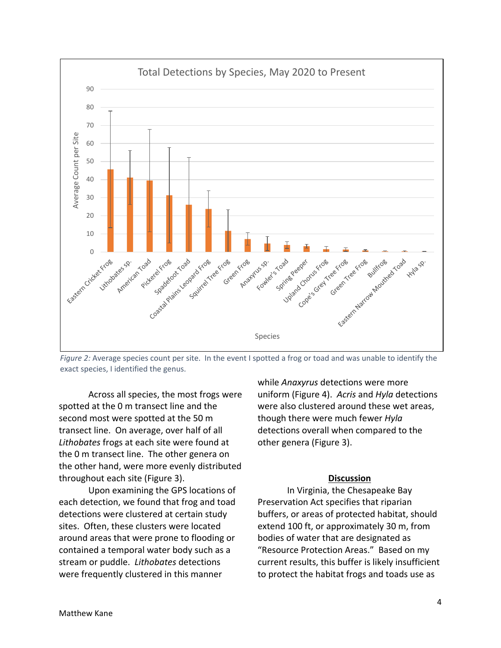

*Figure 2:* Average species count per site. In the event I spotted a frog or toad and was unable to identify the exact species, I identified the genus.

Across all species, the most frogs were spotted at the 0 m transect line and the second most were spotted at the 50 m transect line. On average, over half of all *Lithobates* frogs at each site were found at the 0 m transect line. The other genera on the other hand, were more evenly distributed throughout each site (Figure 3).

Upon examining the GPS locations of each detection, we found that frog and toad detections were clustered at certain study sites. Often, these clusters were located around areas that were prone to flooding or contained a temporal water body such as a stream or puddle. *Lithobates* detections were frequently clustered in this manner

while *Anaxyrus* detections were more uniform (Figure 4). *Acris* and *Hyla* detections were also clustered around these wet areas, though there were much fewer *Hyla* detections overall when compared to the other genera (Figure 3).

#### **Discussion**

In Virginia, the Chesapeake Bay Preservation Act specifies that riparian buffers, or areas of protected habitat, should extend 100 ft, or approximately 30 m, from bodies of water that are designated as "Resource Protection Areas." Based on my current results, this buffer is likely insufficient to protect the habitat frogs and toads use as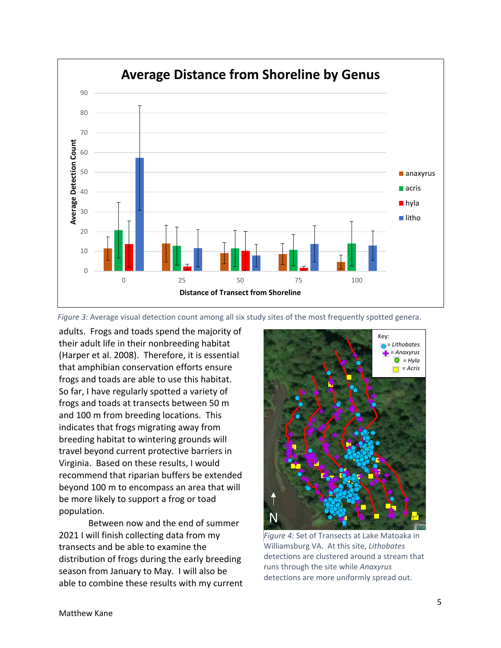



adults. Frogs and toads spend the majority of their adult life in their nonbreeding habitat (Harper et al. 2008). Therefore, it is essential that amphibian conservation efforts ensure frogs and toads are able to use this habitat. So far, I have regularly spotted a variety of frogs and toads at transects between 50 m and 100 m from breeding locations. This indicates that frogs migrating away from breeding habitat to wintering grounds will travel beyond current protective barriers in Virginia. Based on these results, I would recommend that riparian buffers be extended beyond 100 m to encompass an area that will be more likely to support a frog or toad population.

Between now and the end of summer 2021 I will finish collecting data from my transects and be able to examine the distribution of frogs during the early breeding season from January to May. I will also be able to combine these results with my current



*Figure 4:* Set of Transects at Lake Matoaka in Williamsburg VA. At this site, *Lithobates* detections are clustered around a stream that runs through the site while *Anaxyrus* detections are more uniformly spread out.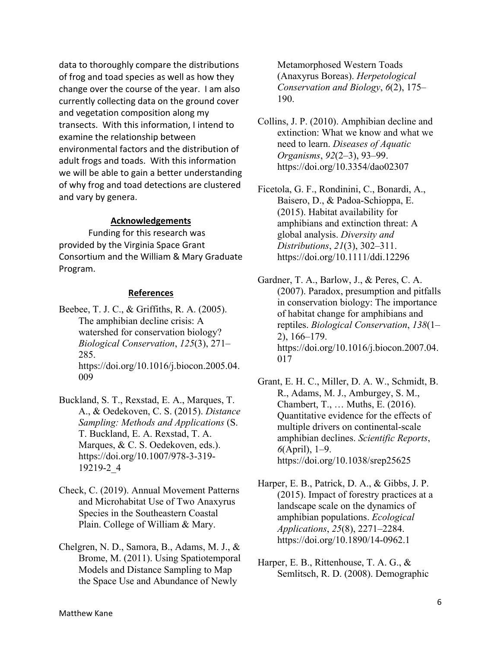data to thoroughly compare the distributions of frog and toad species as well as how they change over the course of the year. I am also currently collecting data on the ground cover and vegetation composition along my transects. With this information, I intend to examine the relationship between environmental factors and the distribution of adult frogs and toads. With this information we will be able to gain a better understanding of why frog and toad detections are clustered and vary by genera.

#### **Acknowledgements**

Funding for this research was provided by the Virginia Space Grant Consortium and the William & Mary Graduate Program.

### **References**

Beebee, T. J. C., & Griffiths, R. A. (2005). The amphibian decline crisis: A watershed for conservation biology? *Biological Conservation*, *125*(3), 271– 285. https://doi.org/10.1016/j.biocon.2005.04. 009

- Buckland, S. T., Rexstad, E. A., Marques, T. A., & Oedekoven, C. S. (2015). *Distance Sampling: Methods and Applications* (S. T. Buckland, E. A. Rexstad, T. A. Marques, & C. S. Oedekoven, eds.). https://doi.org/10.1007/978-3-319- 19219-2\_4
- Check, C. (2019). Annual Movement Patterns and Microhabitat Use of Two Anaxyrus Species in the Southeastern Coastal Plain. College of William & Mary.
- Chelgren, N. D., Samora, B., Adams, M. J., & Brome, M. (2011). Using Spatiotemporal Models and Distance Sampling to Map the Space Use and Abundance of Newly

Metamorphosed Western Toads (Anaxyrus Boreas). *Herpetological Conservation and Biology*, *6*(2), 175– 190.

- Collins, J. P. (2010). Amphibian decline and extinction: What we know and what we need to learn. *Diseases of Aquatic Organisms*, *92*(2–3), 93–99. https://doi.org/10.3354/dao02307
- Ficetola, G. F., Rondinini, C., Bonardi, A., Baisero, D., & Padoa-Schioppa, E. (2015). Habitat availability for amphibians and extinction threat: A global analysis. *Diversity and Distributions*, *21*(3), 302–311. https://doi.org/10.1111/ddi.12296

Gardner, T. A., Barlow, J., & Peres, C. A. (2007). Paradox, presumption and pitfalls in conservation biology: The importance of habitat change for amphibians and reptiles. *Biological Conservation*, *138*(1– 2), 166–179. https://doi.org/10.1016/j.biocon.2007.04. 017

- Grant, E. H. C., Miller, D. A. W., Schmidt, B. R., Adams, M. J., Amburgey, S. M., Chambert, T., … Muths, E. (2016). Quantitative evidence for the effects of multiple drivers on continental-scale amphibian declines. *Scientific Reports*, *6*(April), 1–9. https://doi.org/10.1038/srep25625
- Harper, E. B., Patrick, D. A., & Gibbs, J. P. (2015). Impact of forestry practices at a landscape scale on the dynamics of amphibian populations. *Ecological Applications*, *25*(8), 2271–2284. https://doi.org/10.1890/14-0962.1
- Harper, E. B., Rittenhouse, T. A. G., & Semlitsch, R. D. (2008). Demographic